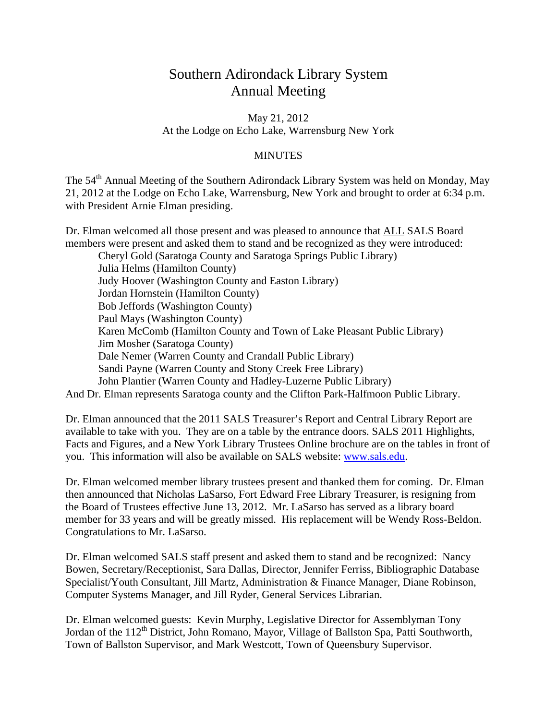## Southern Adirondack Library System Annual Meeting

May 21, 2012 At the Lodge on Echo Lake, Warrensburg New York

## **MINUTES**

The 54<sup>th</sup> Annual Meeting of the Southern Adirondack Library System was held on Monday, May 21, 2012 at the Lodge on Echo Lake, Warrensburg, New York and brought to order at 6:34 p.m. with President Arnie Elman presiding.

Dr. Elman welcomed all those present and was pleased to announce that ALL SALS Board members were present and asked them to stand and be recognized as they were introduced:

 Cheryl Gold (Saratoga County and Saratoga Springs Public Library) Julia Helms (Hamilton County) Judy Hoover (Washington County and Easton Library) Jordan Hornstein (Hamilton County) Bob Jeffords (Washington County) Paul Mays (Washington County) Karen McComb (Hamilton County and Town of Lake Pleasant Public Library) Jim Mosher (Saratoga County) Dale Nemer (Warren County and Crandall Public Library) Sandi Payne (Warren County and Stony Creek Free Library) John Plantier (Warren County and Hadley-Luzerne Public Library) And Dr. Elman represents Saratoga county and the Clifton Park-Halfmoon Public Library.

Dr. Elman announced that the 2011 SALS Treasurer's Report and Central Library Report are available to take with you. They are on a table by the entrance doors. SALS 2011 Highlights, Facts and Figures, and a New York Library Trustees Online brochure are on the tables in front of you. This information will also be available on SALS website: www.sals.edu.

Dr. Elman welcomed member library trustees present and thanked them for coming. Dr. Elman then announced that Nicholas LaSarso, Fort Edward Free Library Treasurer, is resigning from the Board of Trustees effective June 13, 2012. Mr. LaSarso has served as a library board member for 33 years and will be greatly missed. His replacement will be Wendy Ross-Beldon. Congratulations to Mr. LaSarso.

Dr. Elman welcomed SALS staff present and asked them to stand and be recognized: Nancy Bowen, Secretary/Receptionist, Sara Dallas, Director, Jennifer Ferriss, Bibliographic Database Specialist/Youth Consultant, Jill Martz, Administration & Finance Manager, Diane Robinson, Computer Systems Manager, and Jill Ryder, General Services Librarian.

Dr. Elman welcomed guests: Kevin Murphy, Legislative Director for Assemblyman Tony Jordan of the 112<sup>th</sup> District, John Romano, Mayor, Village of Ballston Spa, Patti Southworth, Town of Ballston Supervisor, and Mark Westcott, Town of Queensbury Supervisor.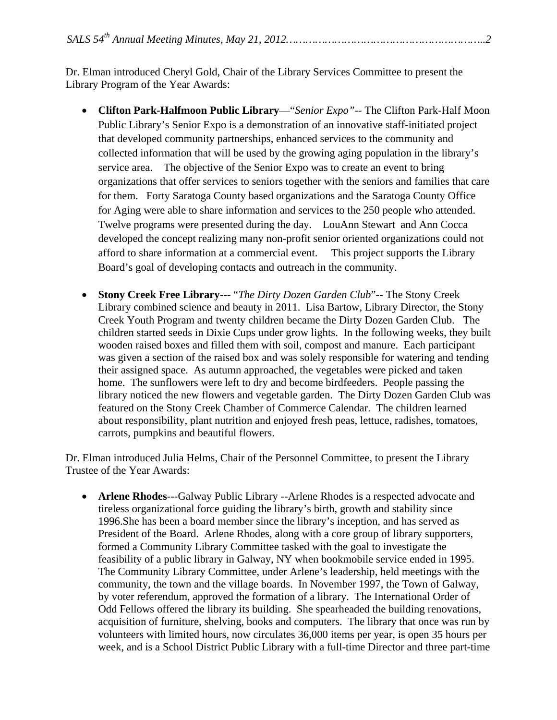Dr. Elman introduced Cheryl Gold, Chair of the Library Services Committee to present the Library Program of the Year Awards:

- **Clifton Park-Halfmoon Public Library**—"*Senior Expo"*-- The Clifton Park-Half Moon Public Library's Senior Expo is a demonstration of an innovative staff-initiated project that developed community partnerships, enhanced services to the community and collected information that will be used by the growing aging population in the library's service area. The objective of the Senior Expo was to create an event to bring organizations that offer services to seniors together with the seniors and families that care for them. Forty Saratoga County based organizations and the Saratoga County Office for Aging were able to share information and services to the 250 people who attended. Twelve programs were presented during the day. LouAnn Stewart and Ann Cocca developed the concept realizing many non-profit senior oriented organizations could not afford to share information at a commercial event. This project supports the Library Board's goal of developing contacts and outreach in the community.
- **Stony Creek Free Library---** "*The Dirty Dozen Garden Club*"-- The Stony Creek Library combined science and beauty in 2011. Lisa Bartow, Library Director, the Stony Creek Youth Program and twenty children became the Dirty Dozen Garden Club. The children started seeds in Dixie Cups under grow lights. In the following weeks, they built wooden raised boxes and filled them with soil, compost and manure. Each participant was given a section of the raised box and was solely responsible for watering and tending their assigned space. As autumn approached, the vegetables were picked and taken home. The sunflowers were left to dry and become birdfeeders. People passing the library noticed the new flowers and vegetable garden. The Dirty Dozen Garden Club was featured on the Stony Creek Chamber of Commerce Calendar. The children learned about responsibility, plant nutrition and enjoyed fresh peas, lettuce, radishes, tomatoes, carrots, pumpkins and beautiful flowers.

Dr. Elman introduced Julia Helms, Chair of the Personnel Committee, to present the Library Trustee of the Year Awards:

• **Arlene Rhodes**---Galway Public Library --Arlene Rhodes is a respected advocate and tireless organizational force guiding the library's birth, growth and stability since 1996.She has been a board member since the library's inception, and has served as President of the Board. Arlene Rhodes, along with a core group of library supporters, formed a Community Library Committee tasked with the goal to investigate the feasibility of a public library in Galway, NY when bookmobile service ended in 1995. The Community Library Committee, under Arlene's leadership, held meetings with the community, the town and the village boards. In November 1997, the Town of Galway, by voter referendum, approved the formation of a library. The International Order of Odd Fellows offered the library its building. She spearheaded the building renovations, acquisition of furniture, shelving, books and computers. The library that once was run by volunteers with limited hours, now circulates 36,000 items per year, is open 35 hours per week, and is a School District Public Library with a full-time Director and three part-time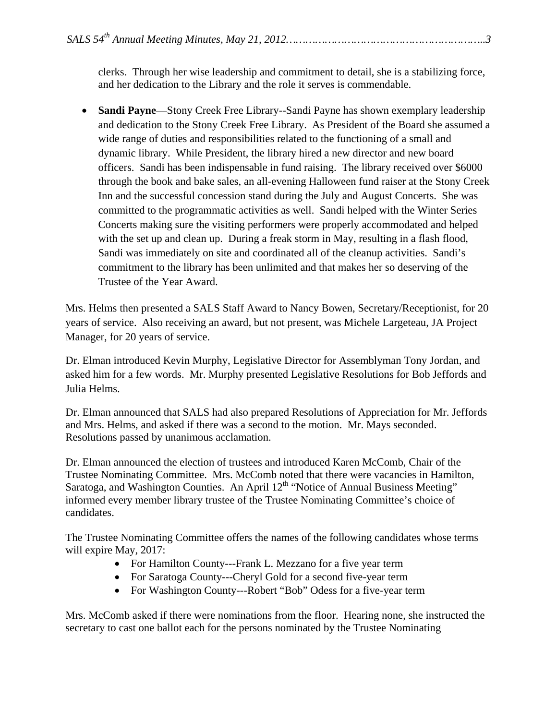clerks. Through her wise leadership and commitment to detail, she is a stabilizing force, and her dedication to the Library and the role it serves is commendable.

• **Sandi Payne**—Stony Creek Free Library--Sandi Payne has shown exemplary leadership and dedication to the Stony Creek Free Library. As President of the Board she assumed a wide range of duties and responsibilities related to the functioning of a small and dynamic library. While President, the library hired a new director and new board officers. Sandi has been indispensable in fund raising. The library received over \$6000 through the book and bake sales, an all-evening Halloween fund raiser at the Stony Creek Inn and the successful concession stand during the July and August Concerts. She was committed to the programmatic activities as well. Sandi helped with the Winter Series Concerts making sure the visiting performers were properly accommodated and helped with the set up and clean up. During a freak storm in May, resulting in a flash flood, Sandi was immediately on site and coordinated all of the cleanup activities. Sandi's commitment to the library has been unlimited and that makes her so deserving of the Trustee of the Year Award.

Mrs. Helms then presented a SALS Staff Award to Nancy Bowen, Secretary/Receptionist, for 20 years of service. Also receiving an award, but not present, was Michele Largeteau, JA Project Manager, for 20 years of service.

Dr. Elman introduced Kevin Murphy, Legislative Director for Assemblyman Tony Jordan, and asked him for a few words. Mr. Murphy presented Legislative Resolutions for Bob Jeffords and Julia Helms.

Dr. Elman announced that SALS had also prepared Resolutions of Appreciation for Mr. Jeffords and Mrs. Helms, and asked if there was a second to the motion. Mr. Mays seconded. Resolutions passed by unanimous acclamation.

Dr. Elman announced the election of trustees and introduced Karen McComb, Chair of the Trustee Nominating Committee. Mrs. McComb noted that there were vacancies in Hamilton, Saratoga, and Washington Counties. An April 12<sup>th</sup> "Notice of Annual Business Meeting" informed every member library trustee of the Trustee Nominating Committee's choice of candidates.

The Trustee Nominating Committee offers the names of the following candidates whose terms will expire May, 2017:

- For Hamilton County---Frank L. Mezzano for a five year term
- For Saratoga County---Cheryl Gold for a second five-year term
- For Washington County---Robert "Bob" Odess for a five-year term

Mrs. McComb asked if there were nominations from the floor. Hearing none, she instructed the secretary to cast one ballot each for the persons nominated by the Trustee Nominating